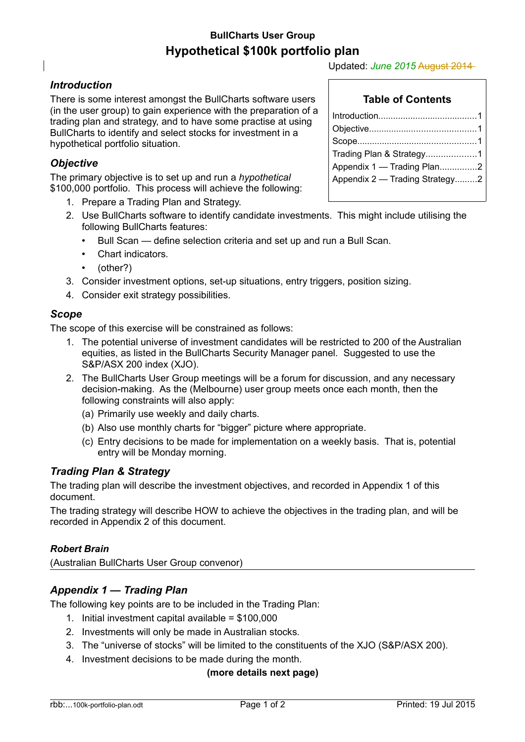# **BullCharts User Group Hypothetical \$100k portfolio plan**

### <span id="page-0-0"></span>*Introduction*

There is some interest amongst the BullCharts software users (in the user group) to gain experience with the preparation of a trading plan and strategy, and to have some practise at using BullCharts to identify and select stocks for investment in a hypothetical portfolio situation.

### <span id="page-0-4"></span>*Objective*

The primary objective is to set up and run a *hypothetical* \$100,000 portfolio. This process will achieve the following:

- 1. Prepare a Trading Plan and Strategy.
- 2. Use BullCharts software to identify candidate investments. This might include utilising the following BullCharts features:
	- Bull Scan define selection criteria and set up and run a Bull Scan.
	- Chart indicators.
	- (other?)
- 3. Consider investment options, set-up situations, entry triggers, position sizing.
- 4. Consider exit strategy possibilities.

#### <span id="page-0-3"></span>*Scope*

The scope of this exercise will be constrained as follows:

- 1. The potential universe of investment candidates will be restricted to 200 of the Australian equities, as listed in the BullCharts Security Manager panel. Suggested to use the S&P/ASX 200 index (XJO).
- 2. The BullCharts User Group meetings will be a forum for discussion, and any necessary decision-making. As the (Melbourne) user group meets once each month, then the following constraints will also apply:
	- (a) Primarily use weekly and daily charts.
	- (b) Also use monthly charts for "bigger" picture where appropriate.
	- (c) Entry decisions to be made for implementation on a weekly basis. That is, potential entry will be Monday morning.

#### <span id="page-0-2"></span>*Trading Plan & Strategy*

The trading plan will describe the investment objectives, and recorded in Appendix 1 of this document.

The trading strategy will describe HOW to achieve the objectives in the trading plan, and will be recorded in Appendix 2 of this document.

#### *Robert Brain*

(Australian BullCharts User Group convenor)

### <span id="page-0-1"></span>*Appendix 1 — Trading Plan*

The following key points are to be included in the Trading Plan:

- 1. Initial investment capital available = \$100,000
- 2. Investments will only be made in Australian stocks.
- 3. The "universe of stocks" will be limited to the constituents of the XJO (S&P/ASX 200).
- 4. Investment decisions to be made during the month.

#### **(more details next page)**

### **Table of Contents**

| Trading Plan & Strategy1       |
|--------------------------------|
| Appendix 1 - Trading Plan2     |
| Appendix 2 — Trading Strategy2 |
|                                |